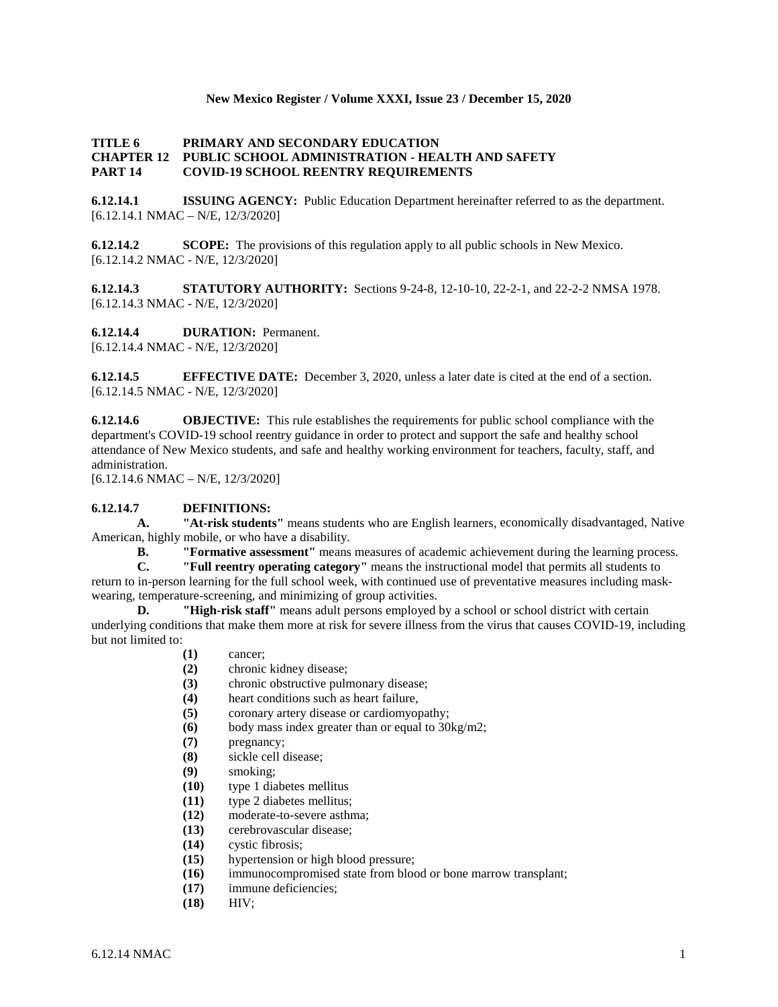#### **New Mexico Register / Volume XXXI, Issue 23 / December 15, 2020**

#### **TITLE 6 PRIMARY AND SECONDARY EDUCATION CHAPTER 12 PUBLIC SCHOOL ADMINISTRATION - HEALTH AND SAFETY PART 14 COVID-19 SCHOOL REENTRY REQUIREMENTS**

**6.12.14.1 ISSUING AGENCY:** Public Education Department hereinafter referred to as the department. [6.12.14.1 NMAC – N/E, 12/3/2020]

**6.12.14.2 SCOPE:** The provisions of this regulation apply to all public schools in New Mexico. [6.12.14.2 NMAC - N/E, 12/3/2020]

**6.12.14.3 STATUTORY AUTHORITY:** Sections 9-24-8, 12-10-10, 22-2-1, and 22-2-2 NMSA 1978. [6.12.14.3 NMAC - N/E, 12/3/2020]

**6.12.14.4 DURATION:** Permanent. [6.12.14.4 NMAC - N/E, 12/3/2020]

**6.12.14.5 EFFECTIVE DATE:** December 3, 2020, unless a later date is cited at the end of a section. [6.12.14.5 NMAC - N/E, 12/3/2020]

**6.12.14.6 OBJECTIVE:** This rule establishes the requirements for public school compliance with the department's COVID-19 school reentry guidance in order to protect and support the safe and healthy school attendance of New Mexico students, and safe and healthy working environment for teachers, faculty, staff, and administration.

[6.12.14.6 NMAC – N/E, 12/3/2020]

#### **6.12.14.7 DEFINITIONS:**

**A. "At-risk students"** means students who are English learners, economically disadvantaged, Native American, highly mobile, or who have a disability.<br> **B. The Termative assessment** means

**B. "Formative assessment"** means measures of academic achievement during the learning process.

**C. "Full reentry operating category"** means the instructional model that permits all students to return to in-person learning for the full school week, with continued use of preventative measures including maskwearing, temperature-screening, and minimizing of group activities.

**D. "High-risk staff"** means adult persons employed by a school or school district with certain underlying conditions that make them more at risk for severe illness from the virus that causes COVID-19, including but not limited to:

- **(1)** cancer;
- **(2)** chronic kidney disease;
- **(3)** chronic obstructive pulmonary disease;
- **(4)** heart conditions such as heart failure,
- **(5)** coronary artery disease or cardiomyopathy;
- **(6)** body mass index greater than or equal to 30kg/m2;
- **(7)** pregnancy;
- **(8)** sickle cell disease;
- **(9)** smoking;
- **(10)** type 1 diabetes mellitus
- **(11)** type 2 diabetes mellitus;
- **(12)** moderate-to-severe asthma;
- **(13)** cerebrovascular disease;
- **(14)** cystic fibrosis;
- **(15)** hypertension or high blood pressure;
- **(16)** immunocompromised state from blood or bone marrow transplant;
- **(17)** immune deficiencies;
- **(18)** HIV;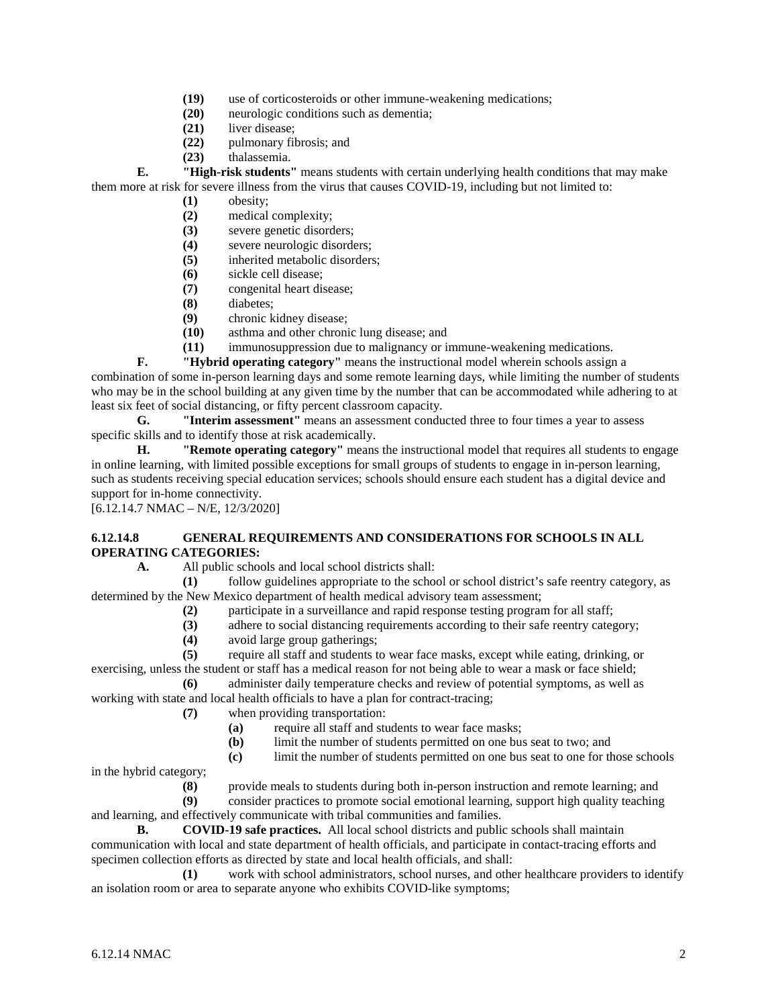- (19) use of corticosteroids or other immune-weakening medications;<br>(20) neurologic conditions such as dementia;
- **(20)** neurologic conditions such as dementia;
- **(21)** liver disease;
- **(22)** pulmonary fibrosis; and
- **(23)** thalassemia.

**E. "High-risk students"** means students with certain underlying health conditions that may make them more at risk for severe illness from the virus that causes COVID-19, including but not limited to:

- **(1)** obesity;
- **(2)** medical complexity;
- **(3)** severe genetic disorders;
- **(4)** severe neurologic disorders;
- **(5)** inherited metabolic disorders;
- **(6)** sickle cell disease;
- **(7)** congenital heart disease;
- **(8)** diabetes;
- **(9)** chronic kidney disease;
- **(10)** asthma and other chronic lung disease; and
- **(11)** immunosuppression due to malignancy or immune-weakening medications.

**F. "Hybrid operating category"** means the instructional model wherein schools assign a combination of some in-person learning days and some remote learning days, while limiting the number of students who may be in the school building at any given time by the number that can be accommodated while adhering to at least six feet of social distancing, or fifty percent classroom capacity.

**G. "Interim assessment"** means an assessment conducted three to four times a year to assess specific skills and to identify those at risk academically.

**H. "Remote operating category"** means the instructional model that requires all students to engage in online learning, with limited possible exceptions for small groups of students to engage in in-person learning, such as students receiving special education services; schools should ensure each student has a digital device and support for in-home connectivity.

[6.12.14.7 NMAC – N/E, 12/3/2020]

# **6.12.14.8 GENERAL REQUIREMENTS AND CONSIDERATIONS FOR SCHOOLS IN ALL OPERATING CATEGORIES:**

**A.** All public schools and local school districts shall:

**(1)** follow guidelines appropriate to the school or school district's safe reentry category, as determined by the New Mexico department of health medical advisory team assessment;

- **(2)** participate in a surveillance and rapid response testing program for all staff;
- **(3)** adhere to social distancing requirements according to their safe reentry category;
- **(4)** avoid large group gatherings;

**(5)** require all staff and students to wear face masks, except while eating, drinking, or exercising, unless the student or staff has a medical reason for not being able to wear a mask or face shield;

**(6)** administer daily temperature checks and review of potential symptoms, as well as working with state and local health officials to have a plan for contract-tracing;

- **(7)** when providing transportation:
	- **(a)** require all staff and students to wear face masks;
	- **(b)** limit the number of students permitted on one bus seat to two; and
	- **(c)** limit the number of students permitted on one bus seat to one for those schools

in the hybrid category;

**(8)** provide meals to students during both in-person instruction and remote learning; and **(9)** consider practices to promote social emotional learning, support high quality teaching

and learning, and effectively communicate with tribal communities and families.

**B. COVID-19 safe practices.** All local school districts and public schools shall maintain communication with local and state department of health officials, and participate in contact-tracing efforts and specimen collection efforts as directed by state and local health officials, and shall:

**(1)** work with school administrators, school nurses, and other healthcare providers to identify an isolation room or area to separate anyone who exhibits COVID-like symptoms;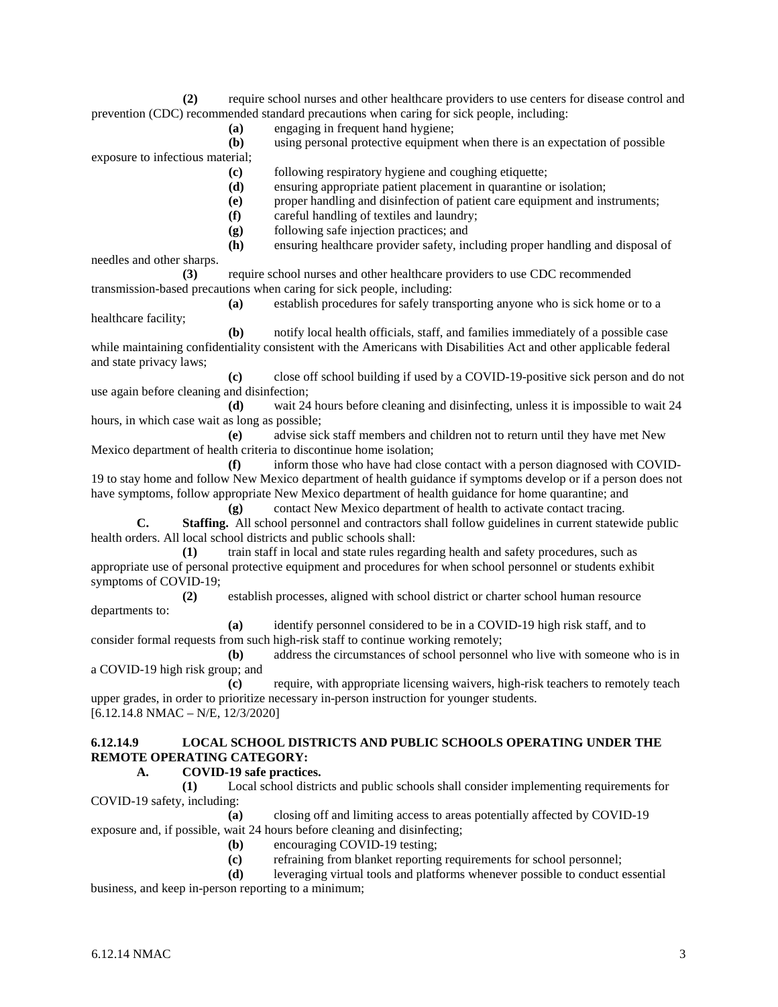**(2)** require school nurses and other healthcare providers to use centers for disease control and prevention (CDC) recommended standard precautions when caring for sick people, including:

**(a)** engaging in frequent hand hygiene;

**(b)** using personal protective equipment when there is an expectation of possible exposure to infectious material;

**(c)** following respiratory hygiene and coughing etiquette;

- **(d)** ensuring appropriate patient placement in quarantine or isolation;
- **(e)** proper handling and disinfection of patient care equipment and instruments;
- **(f)** careful handling of textiles and laundry;
- **(g)** following safe injection practices; and
- **(h)** ensuring healthcare provider safety, including proper handling and disposal of

needles and other sharps.

healthcare facility;

**(3)** require school nurses and other healthcare providers to use CDC recommended transmission-based precautions when caring for sick people, including:

**(a)** establish procedures for safely transporting anyone who is sick home or to a

**(b)** notify local health officials, staff, and families immediately of a possible case while maintaining confidentiality consistent with the Americans with Disabilities Act and other applicable federal and state privacy laws;

**(c)** close off school building if used by a COVID-19-positive sick person and do not use again before cleaning and disinfection;

**(d)** wait 24 hours before cleaning and disinfecting, unless it is impossible to wait 24 hours, in which case wait as long as possible;

**(e)** advise sick staff members and children not to return until they have met New Mexico department of health criteria to discontinue home isolation;

**(f)** inform those who have had close contact with a person diagnosed with COVID-19 to stay home and follow New Mexico department of health guidance if symptoms develop or if a person does not have symptoms, follow appropriate New Mexico department of health guidance for home quarantine; and

**(g)** contact New Mexico department of health to activate contact tracing.

**C. Staffing.** All school personnel and contractors shall follow guidelines in current statewide public health orders. All local school districts and public schools shall:

**(1)** train staff in local and state rules regarding health and safety procedures, such as appropriate use of personal protective equipment and procedures for when school personnel or students exhibit symptoms of COVID-19;

**(2)** establish processes, aligned with school district or charter school human resource departments to:

**(a)** identify personnel considered to be in a COVID-19 high risk staff, and to consider formal requests from such high-risk staff to continue working remotely;

**(b)** address the circumstances of school personnel who live with someone who is in a COVID-19 high risk group; and

**(c)** require, with appropriate licensing waivers, high-risk teachers to remotely teach upper grades, in order to prioritize necessary in-person instruction for younger students. [6.12.14.8 NMAC – N/E, 12/3/2020]

## **6.12.14.9 LOCAL SCHOOL DISTRICTS AND PUBLIC SCHOOLS OPERATING UNDER THE REMOTE OPERATING CATEGORY:**

# **A. COVID-19 safe practices.**

**(1)** Local school districts and public schools shall consider implementing requirements for COVID-19 safety, including:

**(a)** closing off and limiting access to areas potentially affected by COVID-19 exposure and, if possible, wait 24 hours before cleaning and disinfecting;

- **(b)** encouraging COVID-19 testing;
- **(c)** refraining from blanket reporting requirements for school personnel;

**(d)** leveraging virtual tools and platforms whenever possible to conduct essential business, and keep in-person reporting to a minimum;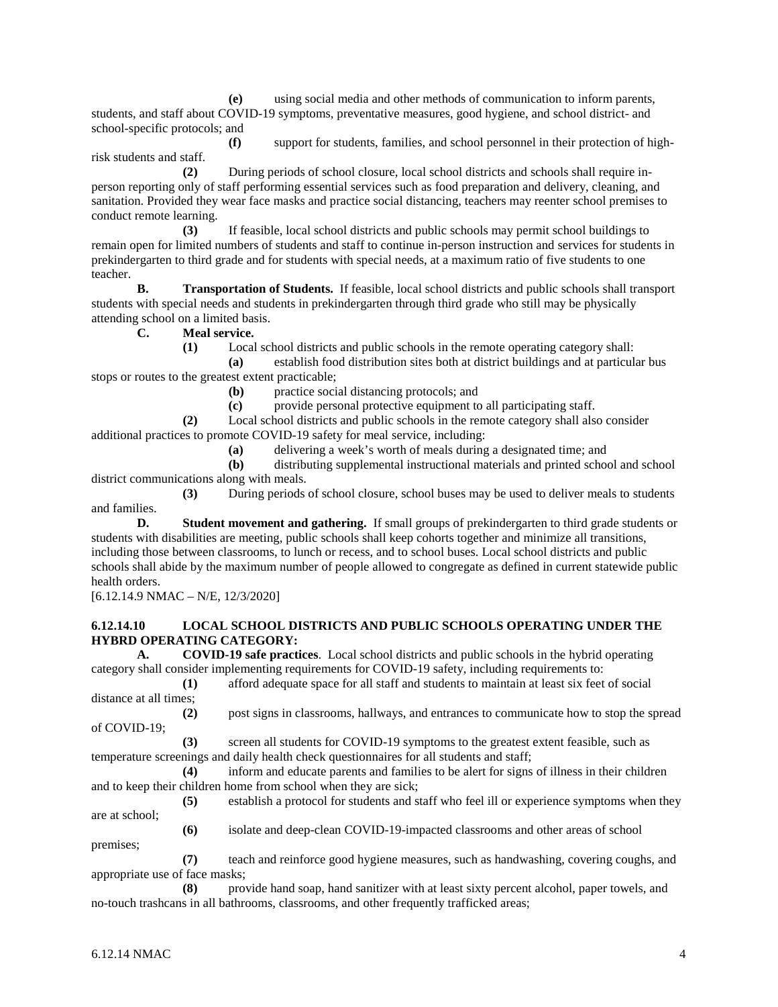**(e)** using social media and other methods of communication to inform parents, students, and staff about COVID-19 symptoms, preventative measures, good hygiene, and school district- and school-specific protocols; and

**(f)** support for students, families, and school personnel in their protection of highrisk students and staff.

**(2)** During periods of school closure, local school districts and schools shall require inperson reporting only of staff performing essential services such as food preparation and delivery, cleaning, and sanitation. Provided they wear face masks and practice social distancing, teachers may reenter school premises to conduct remote learning.

**(3)** If feasible, local school districts and public schools may permit school buildings to remain open for limited numbers of students and staff to continue in-person instruction and services for students in prekindergarten to third grade and for students with special needs, at a maximum ratio of five students to one teacher.

**B. Transportation of Students.** If feasible, local school districts and public schools shall transport students with special needs and students in prekindergarten through third grade who still may be physically attending school on a limited basis.

**C. Meal service.**

**(1)** Local school districts and public schools in the remote operating category shall:

**(a)** establish food distribution sites both at district buildings and at particular bus stops or routes to the greatest extent practicable;

**(b)** practice social distancing protocols; and

**(c)** provide personal protective equipment to all participating staff.

**(2)** Local school districts and public schools in the remote category shall also consider

additional practices to promote COVID-19 safety for meal service, including:

**(a)** delivering a week's worth of meals during a designated time; and

**(b)** distributing supplemental instructional materials and printed school and school district communications along with meals.

**(3)** During periods of school closure, school buses may be used to deliver meals to students and families.

**D. Student movement and gathering.** If small groups of prekindergarten to third grade students or students with disabilities are meeting, public schools shall keep cohorts together and minimize all transitions, including those between classrooms, to lunch or recess, and to school buses. Local school districts and public schools shall abide by the maximum number of people allowed to congregate as defined in current statewide public health orders.

[6.12.14.9 NMAC – N/E, 12/3/2020]

# **6.12.14.10 LOCAL SCHOOL DISTRICTS AND PUBLIC SCHOOLS OPERATING UNDER THE HYBRD OPERATING CATEGORY:**

**A. COVID-19 safe practices**. Local school districts and public schools in the hybrid operating category shall consider implementing requirements for COVID-19 safety, including requirements to:

**(1)** afford adequate space for all staff and students to maintain at least six feet of social distance at all times;

**(2)** post signs in classrooms, hallways, and entrances to communicate how to stop the spread of COVID-19;

**(3)** screen all students for COVID-19 symptoms to the greatest extent feasible, such as temperature screenings and daily health check questionnaires for all students and staff;

**(4)** inform and educate parents and families to be alert for signs of illness in their children and to keep their children home from school when they are sick;

**(5)** establish a protocol for students and staff who feel ill or experience symptoms when they are at school;

**(6)** isolate and deep-clean COVID-19-impacted classrooms and other areas of school

premises; **(7)** teach and reinforce good hygiene measures, such as handwashing, covering coughs, and appropriate use of face masks;

**(8)** provide hand soap, hand sanitizer with at least sixty percent alcohol, paper towels, and no-touch trashcans in all bathrooms, classrooms, and other frequently trafficked areas;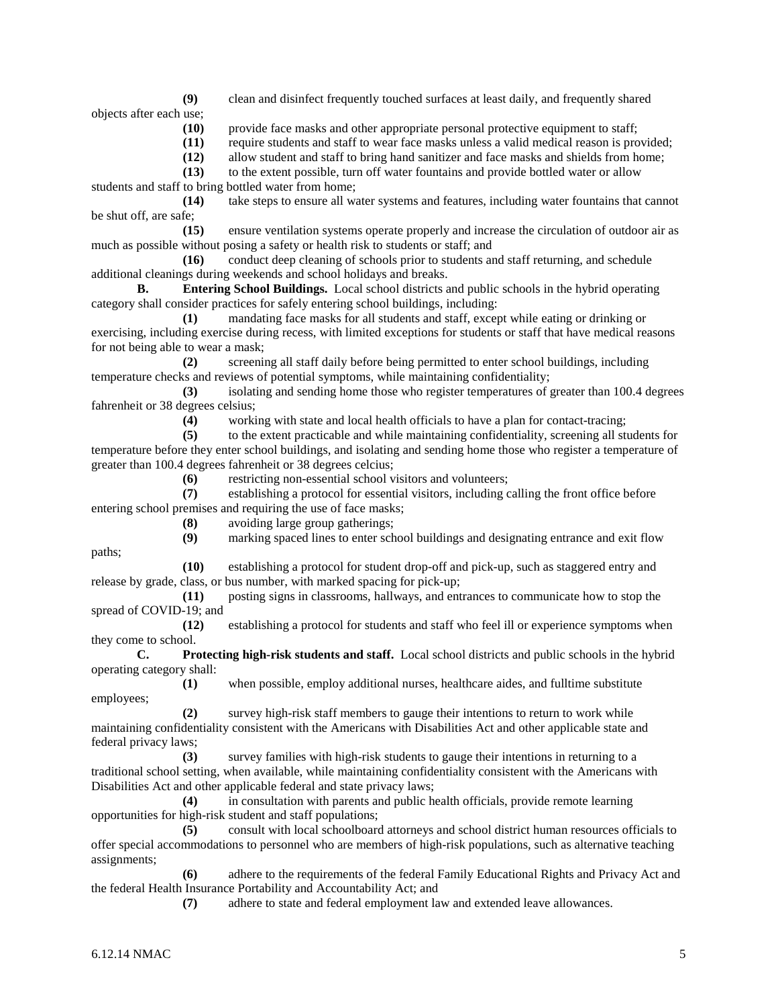**(9)** clean and disinfect frequently touched surfaces at least daily, and frequently shared objects after each use;

**(10)** provide face masks and other appropriate personal protective equipment to staff;

**(11)** require students and staff to wear face masks unless a valid medical reason is provided;

**(12)** allow student and staff to bring hand sanitizer and face masks and shields from home;

**(13)** to the extent possible, turn off water fountains and provide bottled water or allow students and staff to bring bottled water from home;

**(14)** take steps to ensure all water systems and features, including water fountains that cannot be shut off, are safe;

**(15)** ensure ventilation systems operate properly and increase the circulation of outdoor air as much as possible without posing a safety or health risk to students or staff; and

**(16)** conduct deep cleaning of schools prior to students and staff returning, and schedule additional cleanings during weekends and school holidays and breaks.

**B. Entering School Buildings.** Local school districts and public schools in the hybrid operating category shall consider practices for safely entering school buildings, including:

**(1)** mandating face masks for all students and staff, except while eating or drinking or exercising, including exercise during recess, with limited exceptions for students or staff that have medical reasons for not being able to wear a mask;

**(2)** screening all staff daily before being permitted to enter school buildings, including temperature checks and reviews of potential symptoms, while maintaining confidentiality;

**(3)** isolating and sending home those who register temperatures of greater than 100.4 degrees fahrenheit or 38 degrees celsius;

**(4)** working with state and local health officials to have a plan for contact-tracing;

**(5)** to the extent practicable and while maintaining confidentiality, screening all students for temperature before they enter school buildings, and isolating and sending home those who register a temperature of greater than 100.4 degrees fahrenheit or 38 degrees celcius;

**(6)** restricting non-essential school visitors and volunteers;

**(7)** establishing a protocol for essential visitors, including calling the front office before entering school premises and requiring the use of face masks;

**(8)** avoiding large group gatherings;

**(9)** marking spaced lines to enter school buildings and designating entrance and exit flow

**(10)** establishing a protocol for student drop-off and pick-up, such as staggered entry and release by grade, class, or bus number, with marked spacing for pick-up;

**(11)** posting signs in classrooms, hallways, and entrances to communicate how to stop the spread of COVID-19; and

**(12)** establishing a protocol for students and staff who feel ill or experience symptoms when they come to school.

**C. Protecting high-risk students and staff.** Local school districts and public schools in the hybrid operating category shall:

**(1)** when possible, employ additional nurses, healthcare aides, and fulltime substitute employees;

**(2)** survey high-risk staff members to gauge their intentions to return to work while maintaining confidentiality consistent with the Americans with Disabilities Act and other applicable state and federal privacy laws;

**(3)** survey families with high-risk students to gauge their intentions in returning to a traditional school setting, when available, while maintaining confidentiality consistent with the Americans with Disabilities Act and other applicable federal and state privacy laws;

**(4)** in consultation with parents and public health officials, provide remote learning opportunities for high-risk student and staff populations;

**(5)** consult with local schoolboard attorneys and school district human resources officials to offer special accommodations to personnel who are members of high-risk populations, such as alternative teaching assignments;

**(6)** adhere to the requirements of the federal Family Educational Rights and Privacy Act and the federal Health Insurance Portability and Accountability Act; and

**(7)** adhere to state and federal employment law and extended leave allowances.

paths;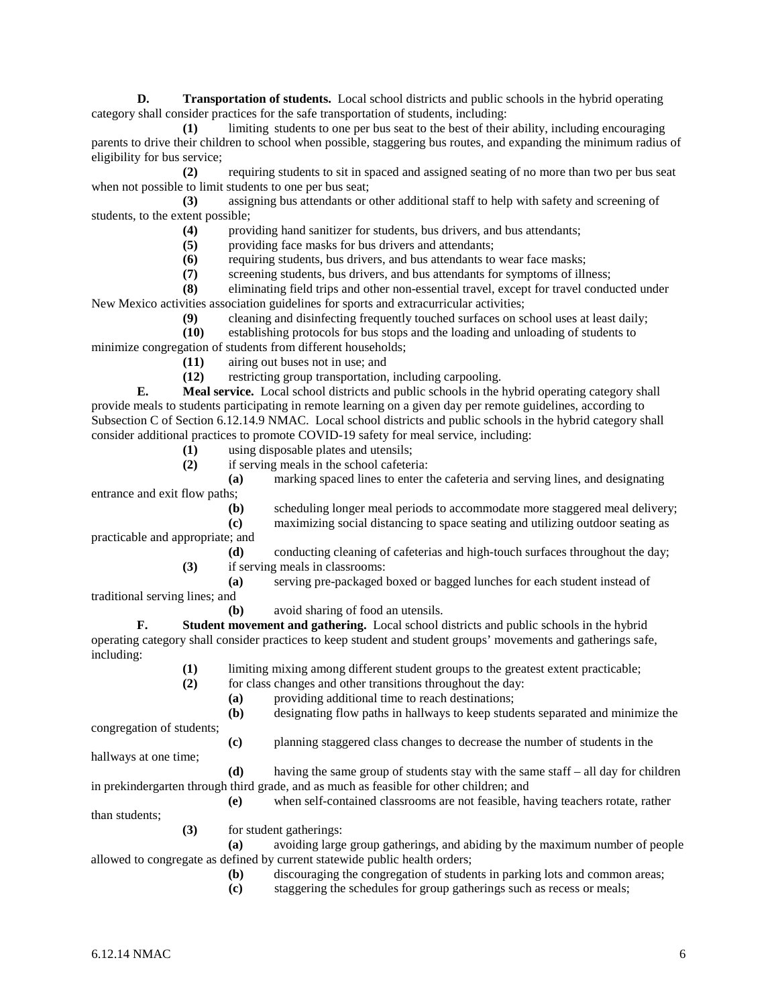**D. Transportation of students.** Local school districts and public schools in the hybrid operating category shall consider practices for the safe transportation of students, including:

**(1)** limiting students to one per bus seat to the best of their ability, including encouraging parents to drive their children to school when possible, staggering bus routes, and expanding the minimum radius of eligibility for bus service;

**(2)** requiring students to sit in spaced and assigned seating of no more than two per bus seat when not possible to limit students to one per bus seat;

**(3)** assigning bus attendants or other additional staff to help with safety and screening of students, to the extent possible;

**(4)** providing hand sanitizer for students, bus drivers, and bus attendants;

**(5)** providing face masks for bus drivers and attendants;

**(6)** requiring students, bus drivers, and bus attendants to wear face masks;

**(7)** screening students, bus drivers, and bus attendants for symptoms of illness;

**(8)** eliminating field trips and other non-essential travel, except for travel conducted under New Mexico activities association guidelines for sports and extracurricular activities;

**(9)** cleaning and disinfecting frequently touched surfaces on school uses at least daily;

**(10)** establishing protocols for bus stops and the loading and unloading of students to minimize congregation of students from different households;

**(11)** airing out buses not in use; and

**(12)** restricting group transportation, including carpooling.

**E. Meal service.** Local school districts and public schools in the hybrid operating category shall provide meals to students participating in remote learning on a given day per remote guidelines, according to Subsection C of Section 6.12.14.9 NMAC. Local school districts and public schools in the hybrid category shall consider additional practices to promote COVID-19 safety for meal service, including:

**(1)** using disposable plates and utensils;

**(2)** if serving meals in the school cafeteria:

**(a)** marking spaced lines to enter the cafeteria and serving lines, and designating entrance and exit flow paths;

**(b)** scheduling longer meal periods to accommodate more staggered meal delivery;

**(c)** maximizing social distancing to space seating and utilizing outdoor seating as practicable and appropriate; and

> **(d)** conducting cleaning of cafeterias and high-touch surfaces throughout the day; **(3)** if serving meals in classrooms:

**(a)** serving pre-packaged boxed or bagged lunches for each student instead of traditional serving lines; and

**(b)** avoid sharing of food an utensils.

**F. Student movement and gathering.** Local school districts and public schools in the hybrid operating category shall consider practices to keep student and student groups' movements and gatherings safe, including:

**(1)** limiting mixing among different student groups to the greatest extent practicable;

**(2)** for class changes and other transitions throughout the day:

**(a)** providing additional time to reach destinations;

**(b)** designating flow paths in hallways to keep students separated and minimize the

congregation of students;

**(c)** planning staggered class changes to decrease the number of students in the

hallways at one time;

**(d)** having the same group of students stay with the same staff – all day for children in prekindergarten through third grade, and as much as feasible for other children; and

**(e)** when self-contained classrooms are not feasible, having teachers rotate, rather than students;

**(3)** for student gatherings:

**(a)** avoiding large group gatherings, and abiding by the maximum number of people allowed to congregate as defined by current statewide public health orders;

**(b)** discouraging the congregation of students in parking lots and common areas;

**(c)** staggering the schedules for group gatherings such as recess or meals;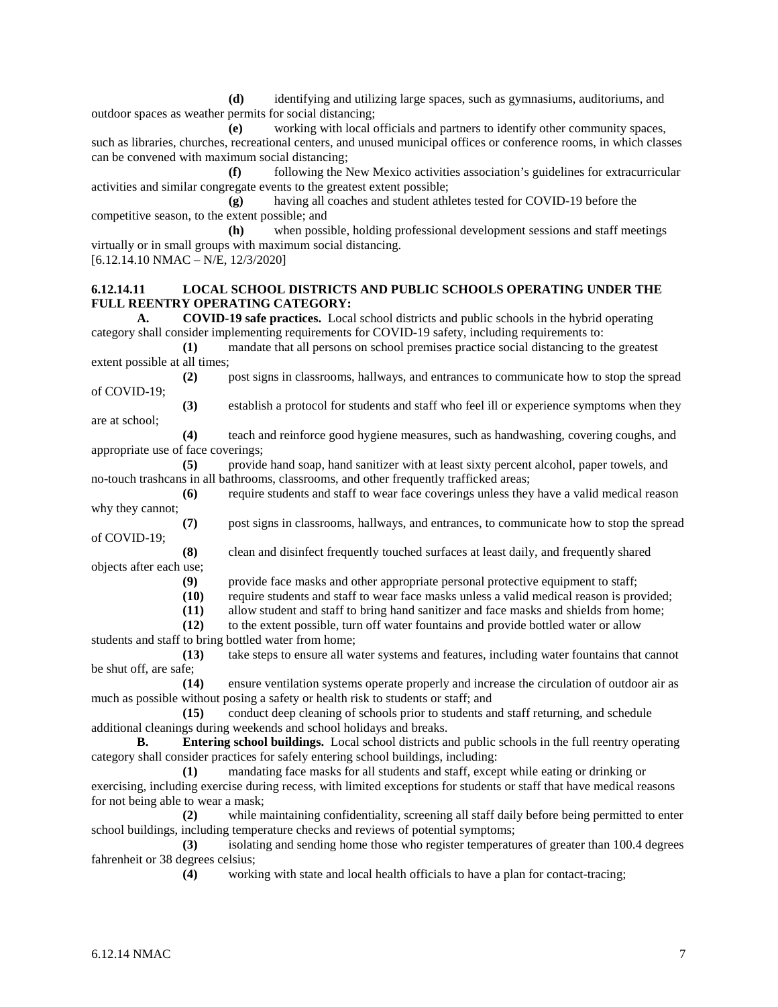**(d)** identifying and utilizing large spaces, such as gymnasiums, auditoriums, and outdoor spaces as weather permits for social distancing;

**(e)** working with local officials and partners to identify other community spaces, such as libraries, churches, recreational centers, and unused municipal offices or conference rooms, in which classes can be convened with maximum social distancing;

**(f)** following the New Mexico activities association's guidelines for extracurricular activities and similar congregate events to the greatest extent possible;

**(g)** having all coaches and student athletes tested for COVID-19 before the competitive season, to the extent possible; and

**(h)** when possible, holding professional development sessions and staff meetings virtually or in small groups with maximum social distancing.

[6.12.14.10 NMAC – N/E, 12/3/2020]

## **6.12.14.11 LOCAL SCHOOL DISTRICTS AND PUBLIC SCHOOLS OPERATING UNDER THE FULL REENTRY OPERATING CATEGORY:**

**A. COVID-19 safe practices.** Local school districts and public schools in the hybrid operating category shall consider implementing requirements for COVID-19 safety, including requirements to:

**(1)** mandate that all persons on school premises practice social distancing to the greatest extent possible at all times;

**(2)** post signs in classrooms, hallways, and entrances to communicate how to stop the spread of COVID-19;

**(3)** establish a protocol for students and staff who feel ill or experience symptoms when they are at school;

**(4)** teach and reinforce good hygiene measures, such as handwashing, covering coughs, and appropriate use of face coverings;

**(5)** provide hand soap, hand sanitizer with at least sixty percent alcohol, paper towels, and no-touch trashcans in all bathrooms, classrooms, and other frequently trafficked areas;

**(6)** require students and staff to wear face coverings unless they have a valid medical reason why they cannot;

**(7)** post signs in classrooms, hallways, and entrances, to communicate how to stop the spread of COVID-19;

**(8)** clean and disinfect frequently touched surfaces at least daily, and frequently shared objects after each use;

(9) provide face masks and other appropriate personal protective equipment to staff;<br>(10) require students and staff to wear face masks unless a valid medical reason is pro

**(10)** require students and staff to wear face masks unless a valid medical reason is provided;

**(11)** allow student and staff to bring hand sanitizer and face masks and shields from home;

**(12)** to the extent possible, turn off water fountains and provide bottled water or allow students and staff to bring bottled water from home;

**(13)** take steps to ensure all water systems and features, including water fountains that cannot

be shut off, are safe; **(14)** ensure ventilation systems operate properly and increase the circulation of outdoor air as much as possible without posing a safety or health risk to students or staff; and

**(15)** conduct deep cleaning of schools prior to students and staff returning, and schedule additional cleanings during weekends and school holidays and breaks.

**B. Entering school buildings.** Local school districts and public schools in the full reentry operating category shall consider practices for safely entering school buildings, including:

**(1)** mandating face masks for all students and staff, except while eating or drinking or exercising, including exercise during recess, with limited exceptions for students or staff that have medical reasons for not being able to wear a mask;

**(2)** while maintaining confidentiality, screening all staff daily before being permitted to enter school buildings, including temperature checks and reviews of potential symptoms;

**(3)** isolating and sending home those who register temperatures of greater than 100.4 degrees fahrenheit or 38 degrees celsius;

**(4)** working with state and local health officials to have a plan for contact-tracing;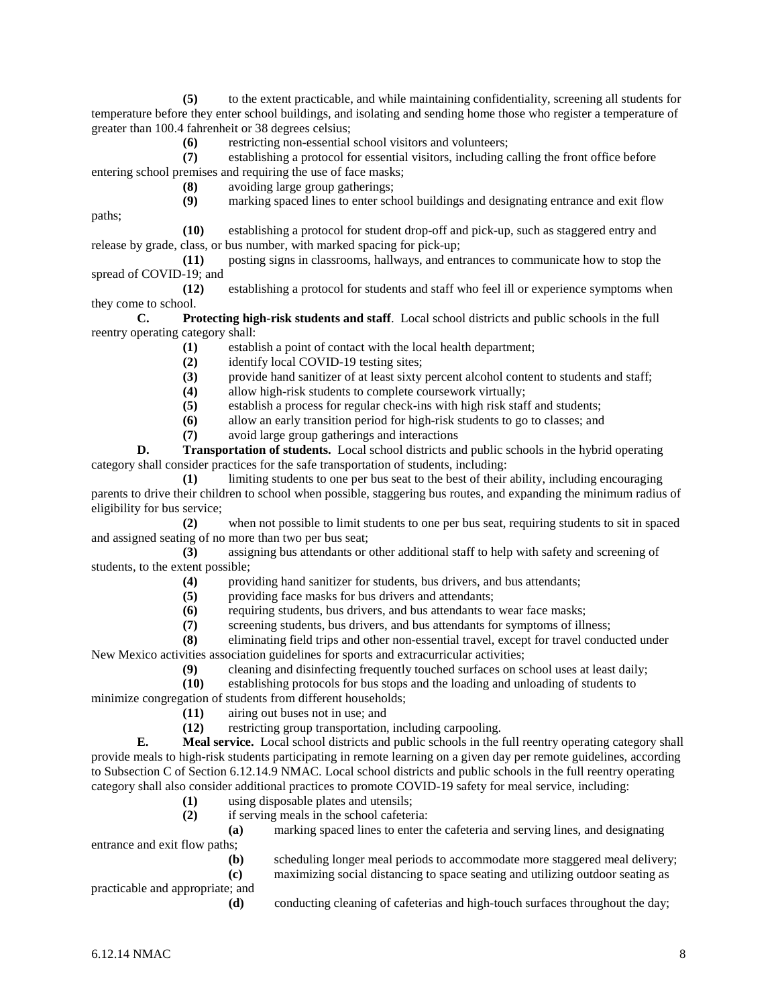**(5)** to the extent practicable, and while maintaining confidentiality, screening all students for temperature before they enter school buildings, and isolating and sending home those who register a temperature of greater than 100.4 fahrenheit or 38 degrees celsius;

**(6)** restricting non-essential school visitors and volunteers;

**(7)** establishing a protocol for essential visitors, including calling the front office before entering school premises and requiring the use of face masks;

**(8)** avoiding large group gatherings;

**(9)** marking spaced lines to enter school buildings and designating entrance and exit flow

**(10)** establishing a protocol for student drop-off and pick-up, such as staggered entry and release by grade, class, or bus number, with marked spacing for pick-up;

**(11)** posting signs in classrooms, hallways, and entrances to communicate how to stop the spread of COVID-19; and

**(12)** establishing a protocol for students and staff who feel ill or experience symptoms when they come to school.

**C. Protecting high-risk students and staff**. Local school districts and public schools in the full reentry operating category shall:

**(1)** establish a point of contact with the local health department;

- (2) identify local COVID-19 testing sites;<br>(3) provide hand sanitizer of at least sixty
- **(3)** provide hand sanitizer of at least sixty percent alcohol content to students and staff;
- **(4)** allow high-risk students to complete coursework virtually;
- **(5)** establish a process for regular check-ins with high risk staff and students;
- **(6)** allow an early transition period for high-risk students to go to classes; and
- **(7)** avoid large group gatherings and interactions

**D. Transportation of students.** Local school districts and public schools in the hybrid operating category shall consider practices for the safe transportation of students, including:

**(1)** limiting students to one per bus seat to the best of their ability, including encouraging parents to drive their children to school when possible, staggering bus routes, and expanding the minimum radius of eligibility for bus service;

**(2)** when not possible to limit students to one per bus seat, requiring students to sit in spaced and assigned seating of no more than two per bus seat;

**(3)** assigning bus attendants or other additional staff to help with safety and screening of students, to the extent possible;

(4) providing hand sanitizer for students, bus drivers, and bus attendants;<br>(5) providing face masks for bus drivers and attendants;

**(5)** providing face masks for bus drivers and attendants;

**(6)** requiring students, bus drivers, and bus attendants to wear face masks;

**(7)** screening students, bus drivers, and bus attendants for symptoms of illness;

**(8)** eliminating field trips and other non-essential travel, except for travel conducted under New Mexico activities association guidelines for sports and extracurricular activities;

**(9)** cleaning and disinfecting frequently touched surfaces on school uses at least daily;

**(10)** establishing protocols for bus stops and the loading and unloading of students to

minimize congregation of students from different households;

(11) airing out buses not in use; and<br>
(12) restricting group transportation,

**(12)** restricting group transportation, including carpooling.

**E. Meal service.** Local school districts and public schools in the full reentry operating category shall provide meals to high-risk students participating in remote learning on a given day per remote guidelines, according to Subsection C of Section 6.12.14.9 NMAC. Local school districts and public schools in the full reentry operating category shall also consider additional practices to promote COVID-19 safety for meal service, including:

- **(1)** using disposable plates and utensils;
- **(2)** if serving meals in the school cafeteria:

**(a)** marking spaced lines to enter the cafeteria and serving lines, and designating

- entrance and exit flow paths;
	- **(b)** scheduling longer meal periods to accommodate more staggered meal delivery;

practicable and appropriate; and

**(c)** maximizing social distancing to space seating and utilizing outdoor seating as

**(d)** conducting cleaning of cafeterias and high-touch surfaces throughout the day;

paths;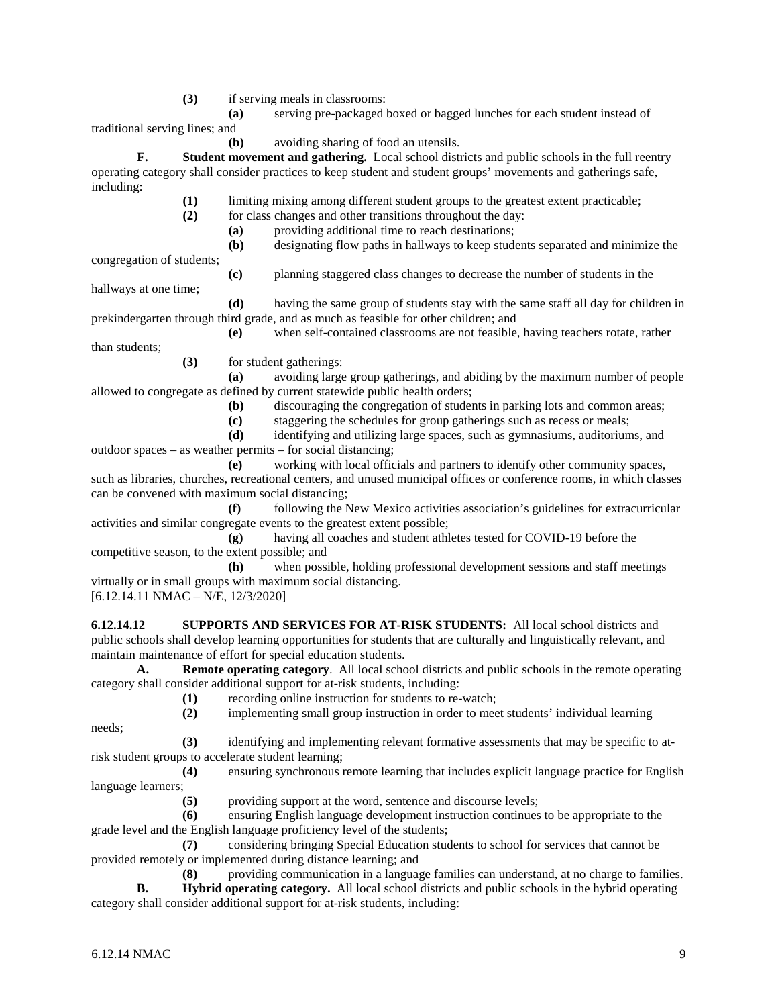**(3)** if serving meals in classrooms:

**(a)** serving pre-packaged boxed or bagged lunches for each student instead of traditional serving lines; and

**(b)** avoiding sharing of food an utensils.

**F. Student movement and gathering.** Local school districts and public schools in the full reentry operating category shall consider practices to keep student and student groups' movements and gatherings safe, including:

- **(1)** limiting mixing among different student groups to the greatest extent practicable;
- **(2)** for class changes and other transitions throughout the day:
	- **(a)** providing additional time to reach destinations;
	- **(b)** designating flow paths in hallways to keep students separated and minimize the

congregation of students;

**(c)** planning staggered class changes to decrease the number of students in the

hallways at one time;

**(d)** having the same group of students stay with the same staff all day for children in prekindergarten through third grade, and as much as feasible for other children; and **(e)** when self-contained classrooms are not feasible, having teachers rotate, rather

than students;

**(3)** for student gatherings:

**(a)** avoiding large group gatherings, and abiding by the maximum number of people allowed to congregate as defined by current statewide public health orders;

- **(b)** discouraging the congregation of students in parking lots and common areas;
- **(c)** staggering the schedules for group gatherings such as recess or meals;

**(d)** identifying and utilizing large spaces, such as gymnasiums, auditoriums, and outdoor spaces – as weather permits – for social distancing;

**(e)** working with local officials and partners to identify other community spaces, such as libraries, churches, recreational centers, and unused municipal offices or conference rooms, in which classes can be convened with maximum social distancing;

**(f)** following the New Mexico activities association's guidelines for extracurricular activities and similar congregate events to the greatest extent possible;

**(g)** having all coaches and student athletes tested for COVID-19 before the competitive season, to the extent possible; and

**(h)** when possible, holding professional development sessions and staff meetings virtually or in small groups with maximum social distancing.

[6.12.14.11 NMAC – N/E, 12/3/2020]

**6.12.14.12 SUPPORTS AND SERVICES FOR AT-RISK STUDENTS:** All local school districts and public schools shall develop learning opportunities for students that are culturally and linguistically relevant, and maintain maintenance of effort for special education students.

**A. Remote operating category**. All local school districts and public schools in the remote operating category shall consider additional support for at-risk students, including:

**(1)** recording online instruction for students to re-watch;

**(2)** implementing small group instruction in order to meet students' individual learning

needs;

**(3)** identifying and implementing relevant formative assessments that may be specific to atrisk student groups to accelerate student learning;

**(4)** ensuring synchronous remote learning that includes explicit language practice for English language learners;

**(5)** providing support at the word, sentence and discourse levels;

**(6)** ensuring English language development instruction continues to be appropriate to the grade level and the English language proficiency level of the students;

**(7)** considering bringing Special Education students to school for services that cannot be provided remotely or implemented during distance learning; and

**(8)** providing communication in a language families can understand, at no charge to families. **B. Hybrid operating category.** All local school districts and public schools in the hybrid operating category shall consider additional support for at-risk students, including: